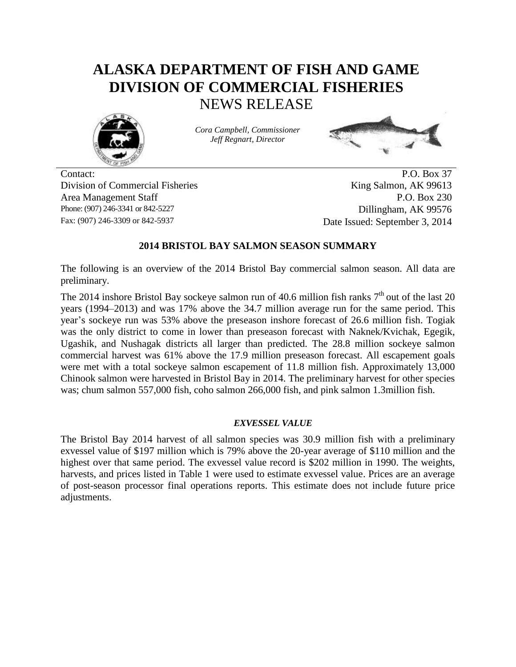# **ALASKA DEPARTMENT OF FISH AND GAME DIVISION OF COMMERCIAL FISHERIES** NEWS RELEASE



*Cora Campbell, Commissioner Jeff Regnart, Director*



Contact: P.O. Box 37 Division of Commercial Fisheries King Salmon, AK 99613 Area Management Staff P.O. Box 230 Phone: (907) 246-3341 or 842-5227 Dillingham, AK 99576 Fax: (907) 246-3309 or 842-5937 Date Issued: September 3, 2014

## **2014 BRISTOL BAY SALMON SEASON SUMMARY**

The following is an overview of the 2014 Bristol Bay commercial salmon season. All data are preliminary.

The 2014 inshore Bristol Bay sockeye salmon run of 40.6 million fish ranks  $7<sup>th</sup>$  out of the last 20 years (1994–2013) and was 17% above the 34.7 million average run for the same period. This year's sockeye run was 53% above the preseason inshore forecast of 26.6 million fish. Togiak was the only district to come in lower than preseason forecast with Naknek/Kvichak, Egegik, Ugashik, and Nushagak districts all larger than predicted. The 28.8 million sockeye salmon commercial harvest was 61% above the 17.9 million preseason forecast. All escapement goals were met with a total sockeye salmon escapement of 11.8 million fish. Approximately 13,000 Chinook salmon were harvested in Bristol Bay in 2014. The preliminary harvest for other species was; chum salmon 557,000 fish, coho salmon 266,000 fish, and pink salmon 1.3million fish.

### *EXVESSEL VALUE*

The Bristol Bay 2014 harvest of all salmon species was 30.9 million fish with a preliminary exvessel value of \$197 million which is 79% above the 20-year average of \$110 million and the highest over that same period. The exvessel value record is \$202 million in 1990. The weights, harvests, and prices listed in Table 1 were used to estimate exvessel value. Prices are an average of post-season processor final operations reports. This estimate does not include future price adjustments.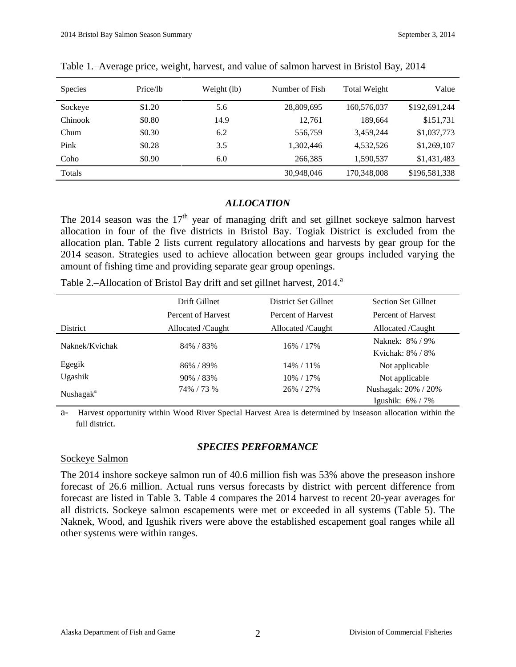| <b>Species</b> | Price/lb | Weight (lb) | Number of Fish | <b>Total Weight</b> | Value         |
|----------------|----------|-------------|----------------|---------------------|---------------|
| Sockeye        | \$1.20   | 5.6         | 28,809,695     | 160,576,037         | \$192,691,244 |
| <b>Chinook</b> | \$0.80   | 14.9        | 12.761         | 189,664             | \$151,731     |
| Chum           | \$0.30   | 6.2         | 556,759        | 3,459,244           | \$1,037,773   |
| Pink           | \$0.28   | 3.5         | 1,302,446      | 4.532.526           | \$1,269,107   |
| Coho           | \$0.90   | 6.0         | 266,385        | 1,590,537           | \$1,431,483   |
| Totals         |          |             | 30,948,046     | 170,348,008         | \$196,581,338 |

Table 1.–Average price, weight, harvest, and value of salmon harvest in Bristol Bay, 2014

## *ALLOCATION*

The 2014 season was the  $17<sup>th</sup>$  year of managing drift and set gillnet sockeye salmon harvest allocation in four of the five districts in Bristol Bay. Togiak District is excluded from the allocation plan. Table 2 lists current regulatory allocations and harvests by gear group for the 2014 season. Strategies used to achieve allocation between gear groups included varying the amount of fishing time and providing separate gear group openings.

|  |  | Table 2.-Allocation of Bristol Bay drift and set gillnet harvest, 2014. <sup>a</sup> |
|--|--|--------------------------------------------------------------------------------------|
|  |  |                                                                                      |

|                       | Drift Gillnet      | District Set Gillnet | <b>Section Set Gillnet</b> |
|-----------------------|--------------------|----------------------|----------------------------|
|                       | Percent of Harvest | Percent of Harvest   | Percent of Harvest         |
| District              | Allocated /Caught  | Allocated /Caught    | Allocated /Caught          |
| Naknek/Kvichak        | 84% / 83%          | 16% / 17%            | Naknek: 8% / 9%            |
|                       |                    |                      | Kyichak: 8% / 8%           |
| Egegik                | 86% / 89%          | 14% / 11%            | Not applicable             |
| Ugashik               | 90% / 83%          | 10% / 17%            | Not applicable             |
| Nushagak <sup>a</sup> | 74% / 73 %         | 26% / 27%            | Nushagak: 20% / 20%        |
|                       |                    |                      | Igushik: $6\%$ / 7%        |

a- Harvest opportunity within Wood River Special Harvest Area is determined by inseason allocation within the full district.

# *SPECIES PERFORMANCE*

### Sockeye Salmon

The 2014 inshore sockeye salmon run of 40.6 million fish was 53% above the preseason inshore forecast of 26.6 million. Actual runs versus forecasts by district with percent difference from forecast are listed in Table 3. Table 4 compares the 2014 harvest to recent 20-year averages for all districts. Sockeye salmon escapements were met or exceeded in all systems (Table 5). The Naknek, Wood, and Igushik rivers were above the established escapement goal ranges while all other systems were within ranges.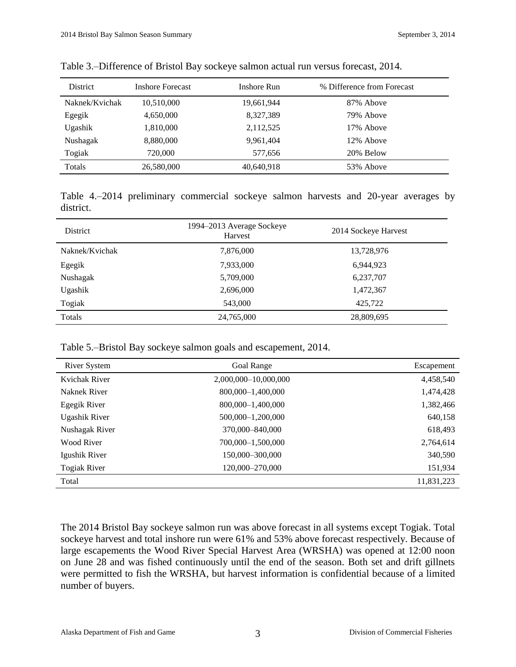| <b>District</b> | <b>Inshore Forecast</b> | Inshore Run | % Difference from Forecast |
|-----------------|-------------------------|-------------|----------------------------|
| Naknek/Kvichak  | 10,510,000              | 19,661,944  | 87% Above                  |
| Egegik          | 4,650,000               | 8,327,389   | 79% Above                  |
| Ugashik         | 1,810,000               | 2,112,525   | 17% Above                  |
| Nushagak        | 8,880,000               | 9,961,404   | 12% Above                  |
| Togiak          | 720,000                 | 577,656     | 20% Below                  |
| Totals          | 26,580,000              | 40,640,918  | 53% Above                  |

Table 3.–Difference of Bristol Bay sockeye salmon actual run versus forecast, 2014.

Table 4.–2014 preliminary commercial sockeye salmon harvests and 20-year averages by district.

| <b>District</b> | 1994–2013 Average Sockeye<br>Harvest | 2014 Sockeye Harvest |  |  |
|-----------------|--------------------------------------|----------------------|--|--|
| Naknek/Kvichak  | 7,876,000                            | 13,728,976           |  |  |
| Egegik          | 7,933,000                            | 6,944,923            |  |  |
| Nushagak        | 5,709,000                            | 6,237,707            |  |  |
| Ugashik         | 2,696,000                            | 1,472,367            |  |  |
| Togiak          | 543,000                              | 425.722              |  |  |
| Totals          | 24,765,000                           | 28,809,695           |  |  |

Table 5.–Bristol Bay sockeye salmon goals and escapement, 2014.

| River System         | Goal Range           | Escapement |
|----------------------|----------------------|------------|
| Kvichak River        | 2,000,000-10,000,000 | 4,458,540  |
| Naknek River         | 800,000-1,400,000    | 1,474,428  |
| Egegik River         | 800,000-1,400,000    | 1,382,466  |
| <b>Ugashik River</b> | 500,000-1,200,000    | 640,158    |
| Nushagak River       | 370,000–840,000      | 618,493    |
| Wood River           | 700,000-1,500,000    | 2,764,614  |
| Igushik River        | 150,000-300,000      | 340,590    |
| <b>Togiak River</b>  | 120,000-270,000      | 151,934    |
| Total                |                      | 11,831,223 |

The 2014 Bristol Bay sockeye salmon run was above forecast in all systems except Togiak. Total sockeye harvest and total inshore run were 61% and 53% above forecast respectively. Because of large escapements the Wood River Special Harvest Area (WRSHA) was opened at 12:00 noon on June 28 and was fished continuously until the end of the season. Both set and drift gillnets were permitted to fish the WRSHA, but harvest information is confidential because of a limited number of buyers.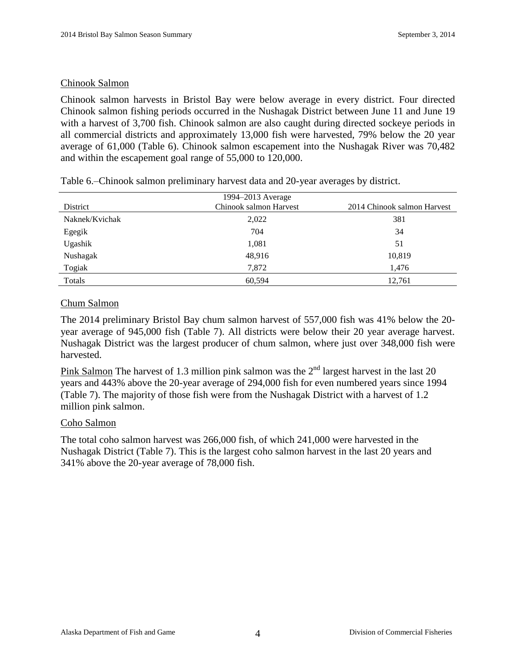## Chinook Salmon

Chinook salmon harvests in Bristol Bay were below average in every district. Four directed Chinook salmon fishing periods occurred in the Nushagak District between June 11 and June 19 with a harvest of 3,700 fish. Chinook salmon are also caught during directed sockeye periods in all commercial districts and approximately 13,000 fish were harvested, 79% below the 20 year average of 61,000 (Table 6). Chinook salmon escapement into the Nushagak River was 70,482 and within the escapement goal range of 55,000 to 120,000.

|                | 1994–2013 Average      |                             |
|----------------|------------------------|-----------------------------|
| District       | Chinook salmon Harvest | 2014 Chinook salmon Harvest |
| Naknek/Kvichak | 2,022                  | 381                         |
| Egegik         | 704                    | 34                          |
| Ugashik        | 1,081                  | 51                          |
| Nushagak       | 48,916                 | 10,819                      |
| Togiak         | 7,872                  | 1,476                       |
| Totals         | 60,594                 | 12,761                      |

Table 6.–Chinook salmon preliminary harvest data and 20-year averages by district.

# Chum Salmon

The 2014 preliminary Bristol Bay chum salmon harvest of 557,000 fish was 41% below the 20 year average of 945,000 fish (Table 7). All districts were below their 20 year average harvest. Nushagak District was the largest producer of chum salmon, where just over 348,000 fish were harvested.

Pink Salmon The harvest of 1.3 million pink salmon was the  $2<sup>nd</sup>$  largest harvest in the last 20 years and 443% above the 20-year average of 294,000 fish for even numbered years since 1994 (Table 7). The majority of those fish were from the Nushagak District with a harvest of 1.2 million pink salmon.

### Coho Salmon

The total coho salmon harvest was 266,000 fish, of which 241,000 were harvested in the Nushagak District (Table 7). This is the largest coho salmon harvest in the last 20 years and 341% above the 20-year average of 78,000 fish.